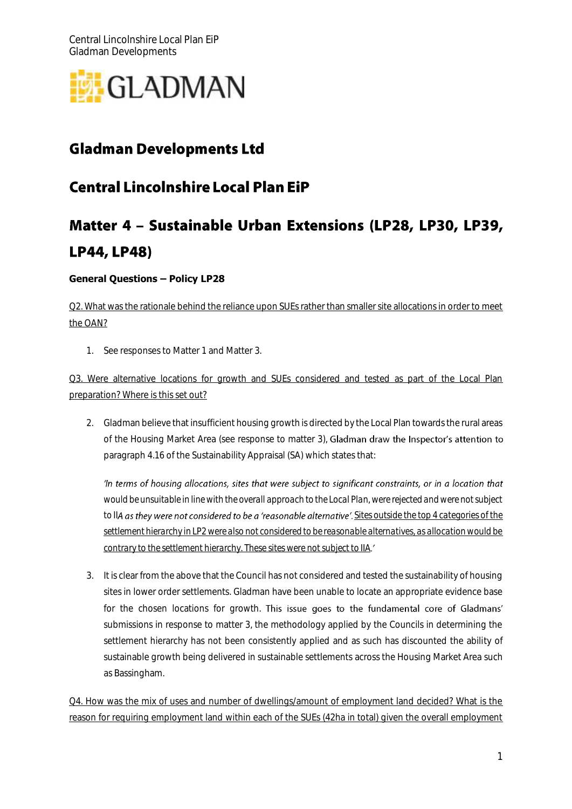

## **Gladman Developments Ltd**

## **Central Lincolnshire Local Plan EiP**

# Matter 4 - Sustainable Urban Extensions (LP28, LP30, LP39, **LP44, LP48)**

#### **General Questions – Policy LP28**

Q2. What was the rationale behind the reliance upon SUEs rather than smaller site allocations in order to meet the OAN?

1. See responses to Matter 1 and Matter 3.

Q3. Were alternative locations for growth and SUEs considered and tested as part of the Local Plan preparation? Where is this set out?

2. Gladman believe that insufficient housing growth is directed by the Local Plan towards the rural areas of the Housing Market Area (see response to matter 3), Gladman draw the Inspector's attention to paragraph 4.16 of the Sustainability Appraisal (SA) which states that:

'In terms of housing allocations, sites that were subject to significant constraints, or in a location that *would be unsuitable in line with the overall approach to the Local Plan, were rejected and were not subject*  to IIA as they were not considered to be a 'reasonable alternative'. Sites outside the top 4 categories of the *settlement hierarchy in LP2 were also not considered to be reasonable alternatives, as allocation would be contrary to the settlement hierarchy. These sites were not subject to IIA*

3. It is clear from the above that the Council has not considered and tested the sustainability of housing sites in lower order settlements. Gladman have been unable to locate an appropriate evidence base for the chosen locations for growth. This issue goes to the fundamental core of Gladmans' submissions in response to matter 3, the methodology applied by the Councils in determining the settlement hierarchy has not been consistently applied and as such has discounted the ability of sustainable growth being delivered in sustainable settlements across the Housing Market Area such as Bassingham.

Q4. How was the mix of uses and number of dwellings/amount of employment land decided? What is the reason for requiring employment land within each of the SUEs (42ha in total) given the overall employment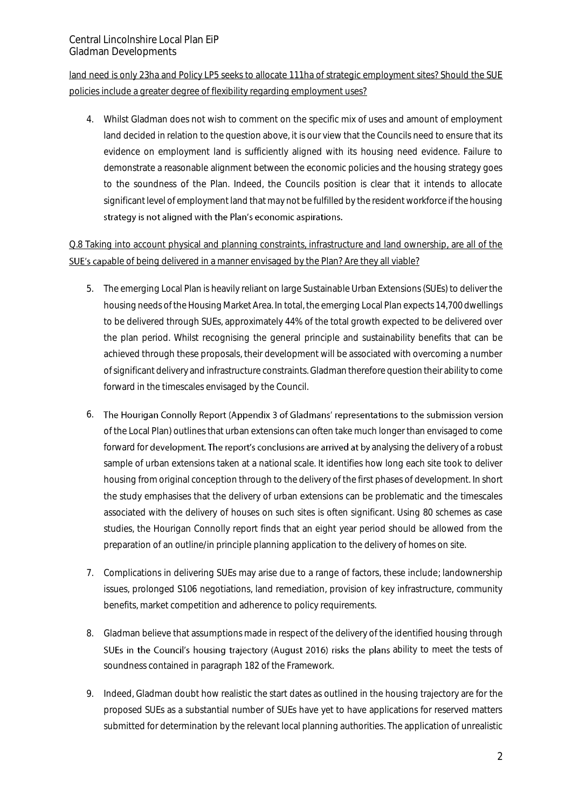#### land need is only 23ha and Policy LP5 seeks to allocate 111ha of strategic employment sites? Should the SUE policies include a greater degree of flexibility regarding employment uses?

4. Whilst Gladman does not wish to comment on the specific mix of uses and amount of employment land decided in relation to the question above, it is our view that the Councils need to ensure that its evidence on employment land is sufficiently aligned with its housing need evidence. Failure to demonstrate a reasonable alignment between the economic policies and the housing strategy goes to the soundness of the Plan. Indeed, the Councils position is clear that it intends to allocate significant level of employment land that may not be fulfilled by the resident workforce if the housing strategy is not aligned with the Plan's economic aspirations.

#### Q.8 Taking into account physical and planning constraints, infrastructure and land ownership, are all of the sue's capable of being delivered in a manner envisaged by the Plan? Are they all viable?

- 5. The emerging Local Plan is heavily reliant on large Sustainable Urban Extensions (SUEs) to deliver the housing needs of the Housing Market Area. In total, the emerging Local Plan expects 14,700 dwellings to be delivered through SUEs, approximately 44% of the total growth expected to be delivered over the plan period. Whilst recognising the general principle and sustainability benefits that can be achieved through these proposals, their development will be associated with overcoming a number of significant delivery and infrastructure constraints. Gladman therefore question their ability to come forward in the timescales envisaged by the Council.
- 6. The Hourigan Connolly Report (Appendix 3 of Gladmans' representations to the submission version of the Local Plan) outlines that urban extensions can often take much longer than envisaged to come forward for development. The report's conclusions are arrived at by analysing the delivery of a robust sample of urban extensions taken at a national scale. It identifies how long each site took to deliver housing from original conception through to the delivery of the first phases of development. In short the study emphasises that the delivery of urban extensions can be problematic and the timescales associated with the delivery of houses on such sites is often significant. Using 80 schemes as case studies, the Hourigan Connolly report finds that an eight year period should be allowed from the preparation of an outline/in principle planning application to the delivery of homes on site.
- 7. Complications in delivering SUEs may arise due to a range of factors, these include; landownership issues, prolonged S106 negotiations, land remediation, provision of key infrastructure, community benefits, market competition and adherence to policy requirements.
- 8. Gladman believe that assumptions made in respect of the delivery of the identified housing through SUEs in the Council's housing trajectory (August 2016) risks the plans ability to meet the tests of soundness contained in paragraph 182 of the Framework.
- 9. Indeed, Gladman doubt how realistic the start dates as outlined in the housing trajectory are for the proposed SUEs as a substantial number of SUEs have yet to have applications for reserved matters submitted for determination by the relevant local planning authorities. The application of unrealistic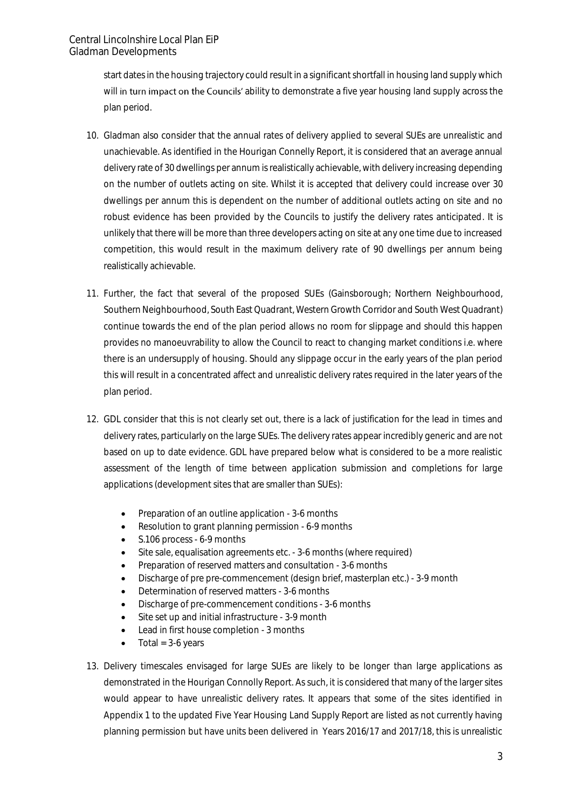start dates in the housing trajectory could result in a significant shortfall in housing land supply which will in turn impact on the Councils' ability to demonstrate a five year housing land supply across the plan period.

- 10. Gladman also consider that the annual rates of delivery applied to several SUEs are unrealistic and unachievable. As identified in the Hourigan Connelly Report, it is considered that an average annual delivery rate of 30 dwellings per annum is realistically achievable, with delivery increasing depending on the number of outlets acting on site. Whilst it is accepted that delivery could increase over 30 dwellings per annum this is dependent on the number of additional outlets acting on site and no robust evidence has been provided by the Councils to justify the delivery rates anticipated. It is unlikely that there will be more than three developers acting on site at any one time due to increased competition, this would result in the maximum delivery rate of 90 dwellings per annum being realistically achievable.
- 11. Further, the fact that several of the proposed SUEs (Gainsborough; Northern Neighbourhood, Southern Neighbourhood, South East Quadrant, Western Growth Corridor and South West Quadrant) continue towards the end of the plan period allows no room for slippage and should this happen provides no manoeuvrability to allow the Council to react to changing market conditions i.e. where there is an undersupply of housing. Should any slippage occur in the early years of the plan period this will result in a concentrated affect and unrealistic delivery rates required in the later years of the plan period.
- 12. GDL consider that this is not clearly set out, there is a lack of justification for the lead in times and delivery rates, particularly on the large SUEs. The delivery rates appear incredibly generic and are not based on up to date evidence. GDL have prepared below what is considered to be a more realistic assessment of the length of time between application submission and completions for large applications (development sites that are smaller than SUEs):
	- Preparation of an outline application 3-6 months
	- Resolution to grant planning permission 6-9 months
	- S.106 process 6-9 months
	- Site sale, equalisation agreements etc. 3-6 months (where required)
	- Preparation of reserved matters and consultation 3-6 months
	- Discharge of pre pre-commencement (design brief, masterplan etc.) 3-9 month
	- Determination of reserved matters 3-6 months
	- Discharge of pre-commencement conditions 3-6 months
	- Site set up and initial infrastructure 3-9 month
	- Lead in first house completion 3 months
	- $\bullet$  Total = 3-6 years
- 13. Delivery timescales envisaged for large SUEs are likely to be longer than large applications as demonstrated in the Hourigan Connolly Report. As such, it is considered that many of the larger sites would appear to have unrealistic delivery rates. It appears that some of the sites identified in Appendix 1 to the updated Five Year Housing Land Supply Report are listed as not currently having planning permission but have units been delivered in Years 2016/17 and 2017/18, this is unrealistic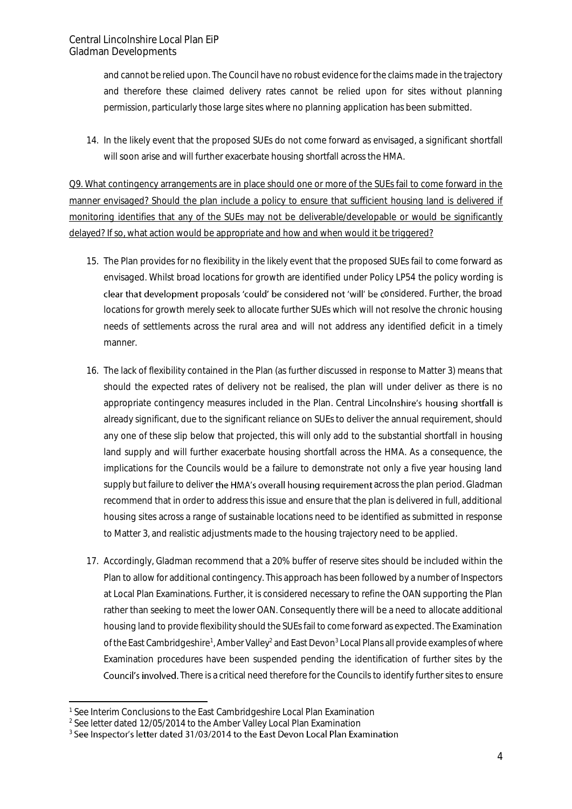and cannot be relied upon. The Council have no robust evidence for the claims made in the trajectory and therefore these claimed delivery rates cannot be relied upon for sites without planning permission, particularly those large sites where no planning application has been submitted.

14. In the likely event that the proposed SUEs do not come forward as envisaged, a significant shortfall will soon arise and will further exacerbate housing shortfall across the HMA.

Q9. What contingency arrangements are in place should one or more of the SUEs fail to come forward in the manner envisaged? Should the plan include a policy to ensure that sufficient housing land is delivered if monitoring identifies that any of the SUEs may not be deliverable/developable or would be significantly delayed? If so, what action would be appropriate and how and when would it be triggered?

- 15. The Plan provides for no flexibility in the likely event that the proposed SUEs fail to come forward as envisaged. Whilst broad locations for growth are identified under Policy LP54 the policy wording is clear that development proposals 'could' be considered not 'will' be considered. Further, the broad locations for growth merely seek to allocate further SUEs which will not resolve the chronic housing needs of settlements across the rural area and will not address any identified deficit in a timely manner.
- 16. The lack of flexibility contained in the Plan (as further discussed in response to Matter 3) means that should the expected rates of delivery not be realised, the plan will under deliver as there is no appropriate contingency measures included in the Plan. Central Lincolnshire's housing shortfall is already significant, due to the significant reliance on SUEs to deliver the annual requirement, should any one of these slip below that projected, this will only add to the substantial shortfall in housing land supply and will further exacerbate housing shortfall across the HMA. As a consequence, the implications for the Councils would be a failure to demonstrate not only a five year housing land supply but failure to deliver the HMA's overall housing requirement across the plan period. Gladman recommend that in order to address this issue and ensure that the plan is delivered in full, additional housing sites across a range of sustainable locations need to be identified as submitted in response to Matter 3, and realistic adjustments made to the housing trajectory need to be applied.
- 17. Accordingly, Gladman recommend that a 20% buffer of reserve sites should be included within the Plan to allow for additional contingency. This approach has been followed by a number of Inspectors at Local Plan Examinations. Further, it is considered necessary to refine the OAN supporting the Plan rather than seeking to meet the lower OAN. Consequently there will be a need to allocate additional housing land to provide flexibility should the SUEs fail to come forward as expected. The Examination of the East Cambridgeshire<sup>1</sup>, Amber Valley<sup>2</sup> and East Devon<sup>3</sup> Local Plans all provide examples of where Examination procedures have been suspended pending the identification of further sites by the Council's involved. There is a critical need therefore for the Councils to identify further sites to ensure

<sup>-</sup><sup>1</sup> See Interim Conclusions to the East Cambridgeshire Local Plan Examination

<sup>&</sup>lt;sup>2</sup> See letter dated 12/05/2014 to the Amber Valley Local Plan Examination

<sup>&</sup>lt;sup>3</sup> See Inspector's letter dated 31/03/2014 to the East Devon Local Plan Examination